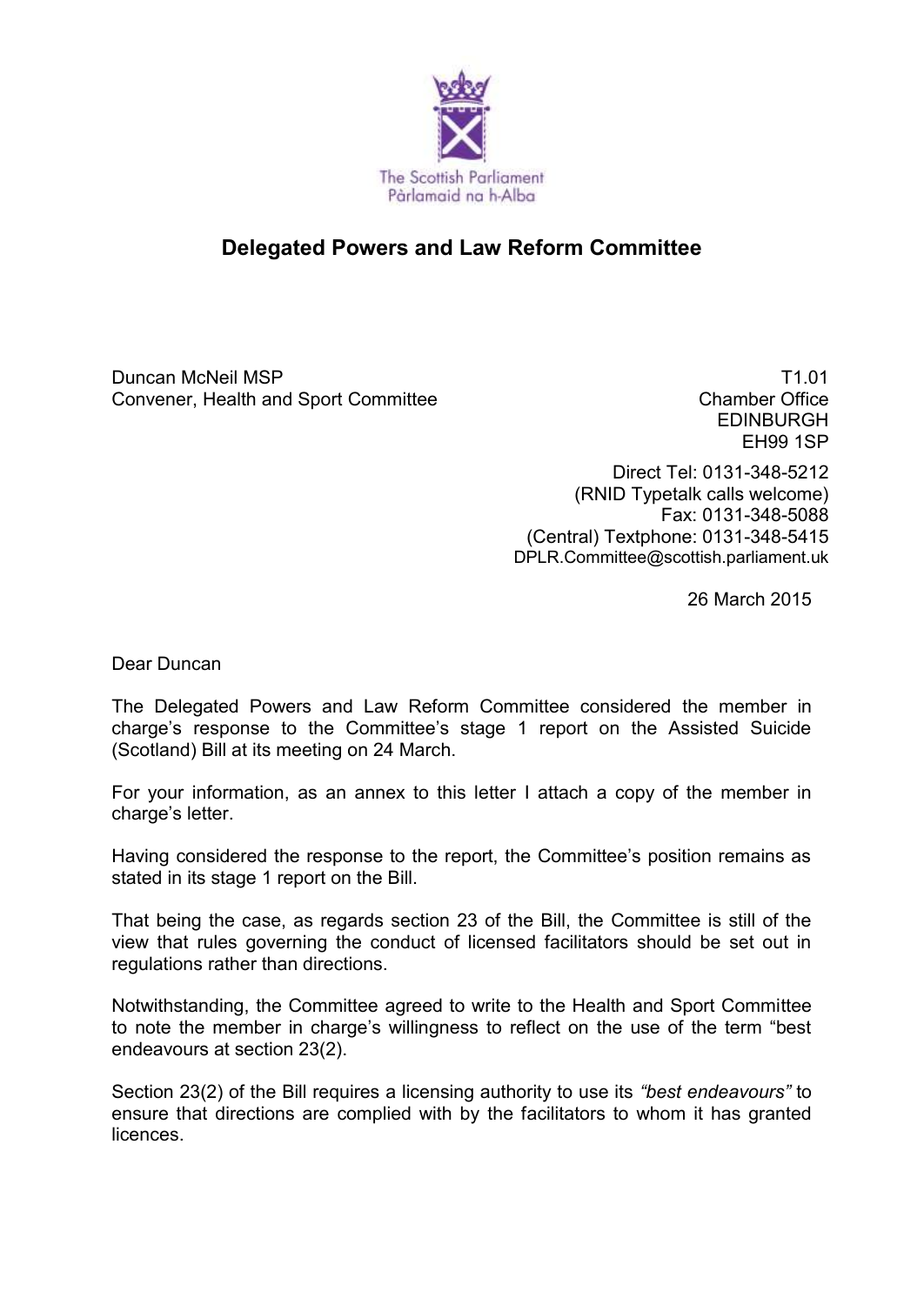

## **Delegated Powers and Law Reform Committee**

Duncan McNeil MSP Convener, Health and Sport Committee

T1.01 Chamber Office EDINBURGH EH99 1SP

Direct Tel: 0131-348-5212 (RNID Typetalk calls welcome) Fax: 0131-348-5088 (Central) Textphone: 0131-348-5415 DPLR.Committee@scottish.parliament.uk

26 March 2015

Dear Duncan

The Delegated Powers and Law Reform Committee considered the member in charge's response to the Committee's stage 1 report on the Assisted Suicide (Scotland) Bill at its meeting on 24 March.

For your information, as an annex to this letter I attach a copy of the member in charge's letter.

Having considered the response to the report, the Committee's position remains as stated in its stage 1 report on the Bill.

That being the case, as regards section 23 of the Bill, the Committee is still of the view that rules governing the conduct of licensed facilitators should be set out in regulations rather than directions.

Notwithstanding, the Committee agreed to write to the Health and Sport Committee to note the member in charge's willingness to reflect on the use of the term "best endeavours at section 23(2).

Section 23(2) of the Bill requires a licensing authority to use its *"best endeavours"* to ensure that directions are complied with by the facilitators to whom it has granted licences.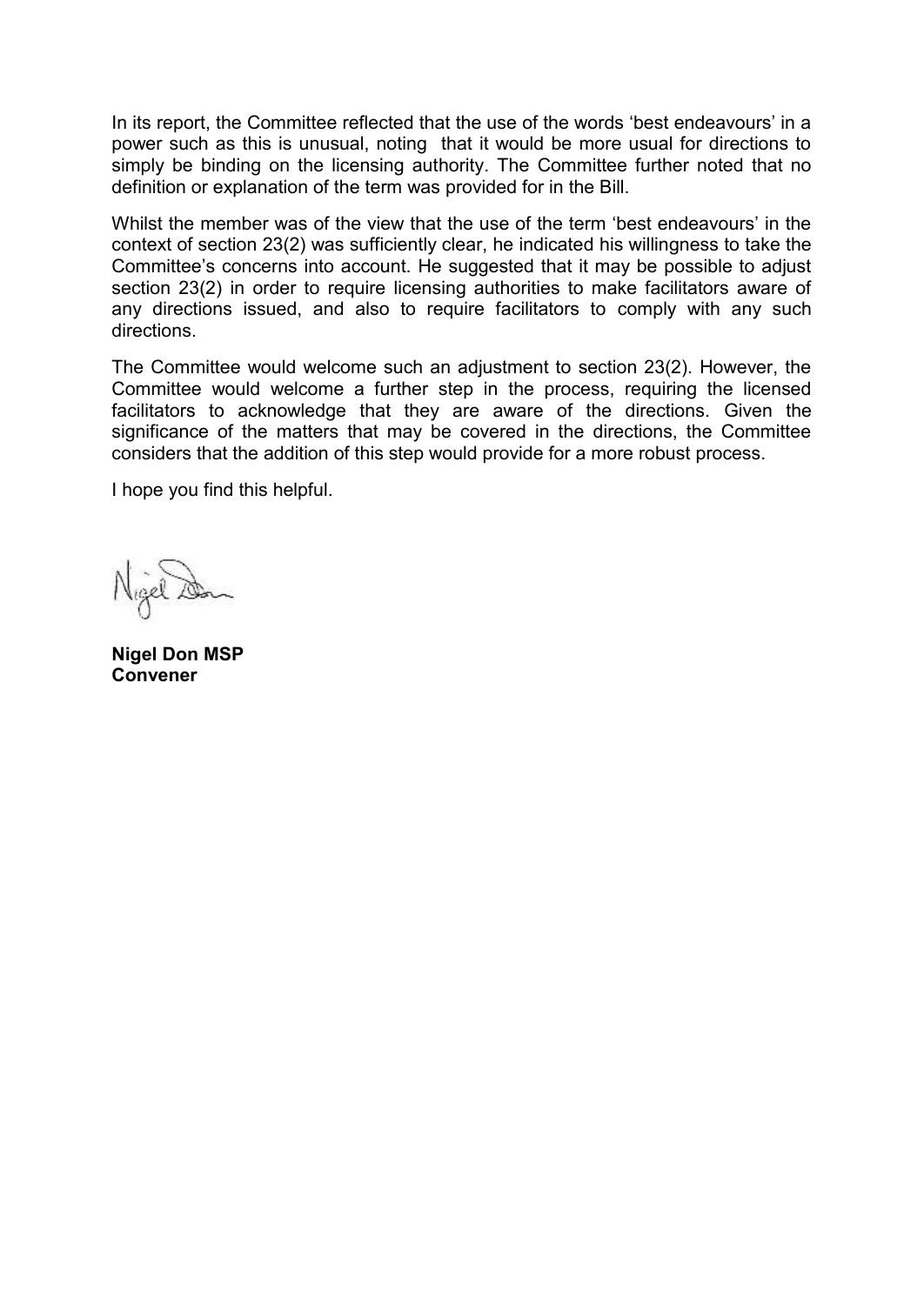In its report, the Committee reflected that the use of the words 'best endeavours' in a power such as this is unusual, noting that it would be more usual for directions to simply be binding on the licensing authority. The Committee further noted that no definition or explanation of the term was provided for in the Bill.

Whilst the member was of the view that the use of the term 'best endeavours' in the context of section 23(2) was sufficiently clear, he indicated his willingness to take the Committee's concerns into account. He suggested that it may be possible to adjust section 23(2) in order to require licensing authorities to make facilitators aware of any directions issued, and also to require facilitators to comply with any such directions.

The Committee would welcome such an adjustment to section 23(2). However, the Committee would welcome a further step in the process, requiring the licensed facilitators to acknowledge that they are aware of the directions. Given the significance of the matters that may be covered in the directions, the Committee considers that the addition of this step would provide for a more robust process.

I hope you find this helpful.

**Nigel Don MSP Convener**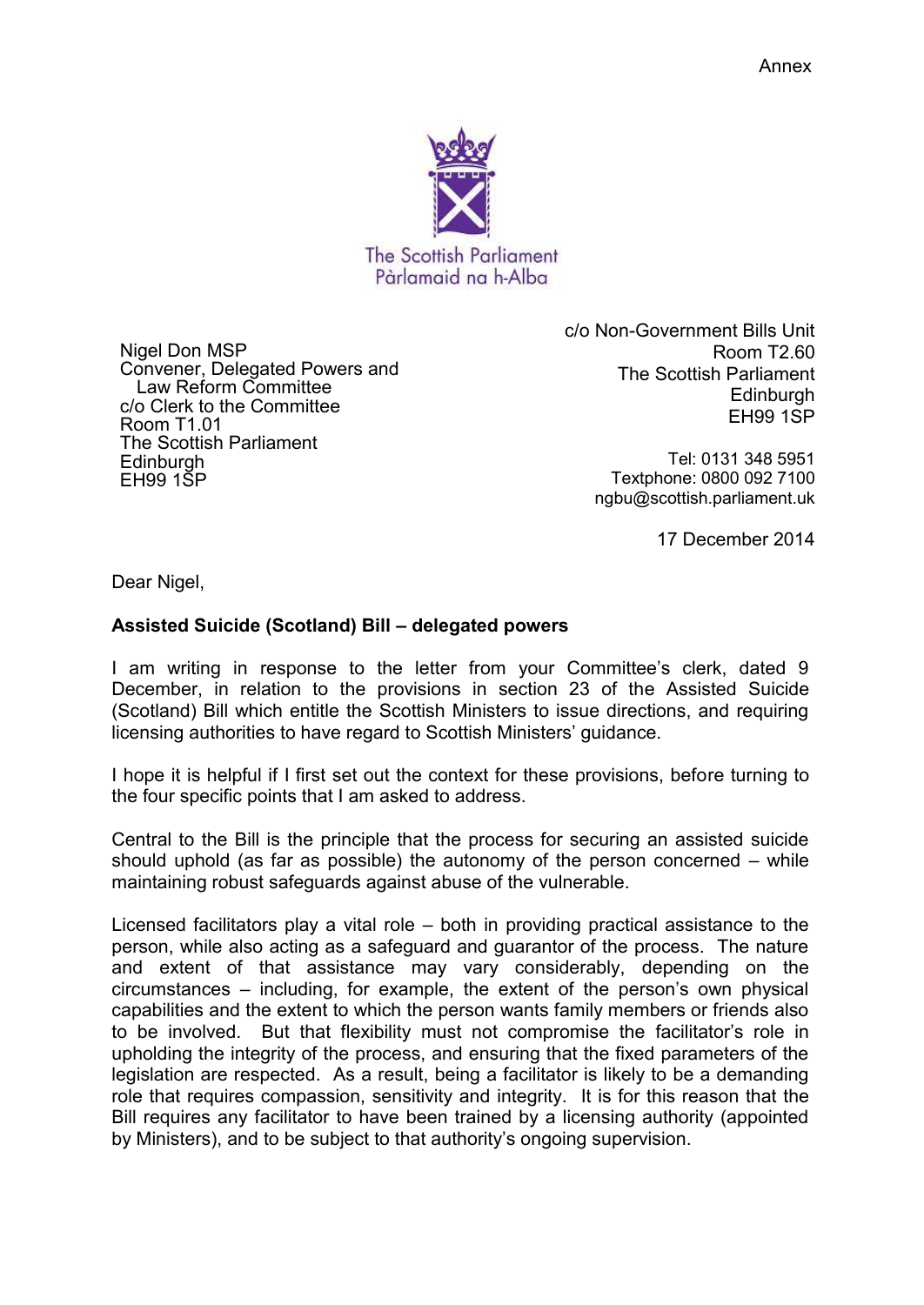

Nigel Don MSP Convener, Delegated Powers and Law Reform Committee c/o Clerk to the Committee Room T1.01 The Scottish Parliament **Edinburgh** EH99 1SP

c/o Non-Government Bills Unit Room T2.60 The Scottish Parliament Edinburgh EH99 1SP

> Tel: 0131 348 5951 Textphone: 0800 092 7100 ngbu@scottish.parliament.uk

> > 17 December 2014

Dear Nigel,

## **Assisted Suicide (Scotland) Bill – delegated powers**

I am writing in response to the letter from your Committee's clerk, dated 9 December, in relation to the provisions in section 23 of the Assisted Suicide (Scotland) Bill which entitle the Scottish Ministers to issue directions, and requiring licensing authorities to have regard to Scottish Ministers' guidance.

I hope it is helpful if I first set out the context for these provisions, before turning to the four specific points that I am asked to address.

Central to the Bill is the principle that the process for securing an assisted suicide should uphold (as far as possible) the autonomy of the person concerned – while maintaining robust safeguards against abuse of the vulnerable.

Licensed facilitators play a vital role – both in providing practical assistance to the person, while also acting as a safeguard and guarantor of the process. The nature and extent of that assistance may vary considerably, depending on the circumstances – including, for example, the extent of the person's own physical capabilities and the extent to which the person wants family members or friends also to be involved. But that flexibility must not compromise the facilitator's role in upholding the integrity of the process, and ensuring that the fixed parameters of the legislation are respected. As a result, being a facilitator is likely to be a demanding role that requires compassion, sensitivity and integrity. It is for this reason that the Bill requires any facilitator to have been trained by a licensing authority (appointed by Ministers), and to be subject to that authority's ongoing supervision.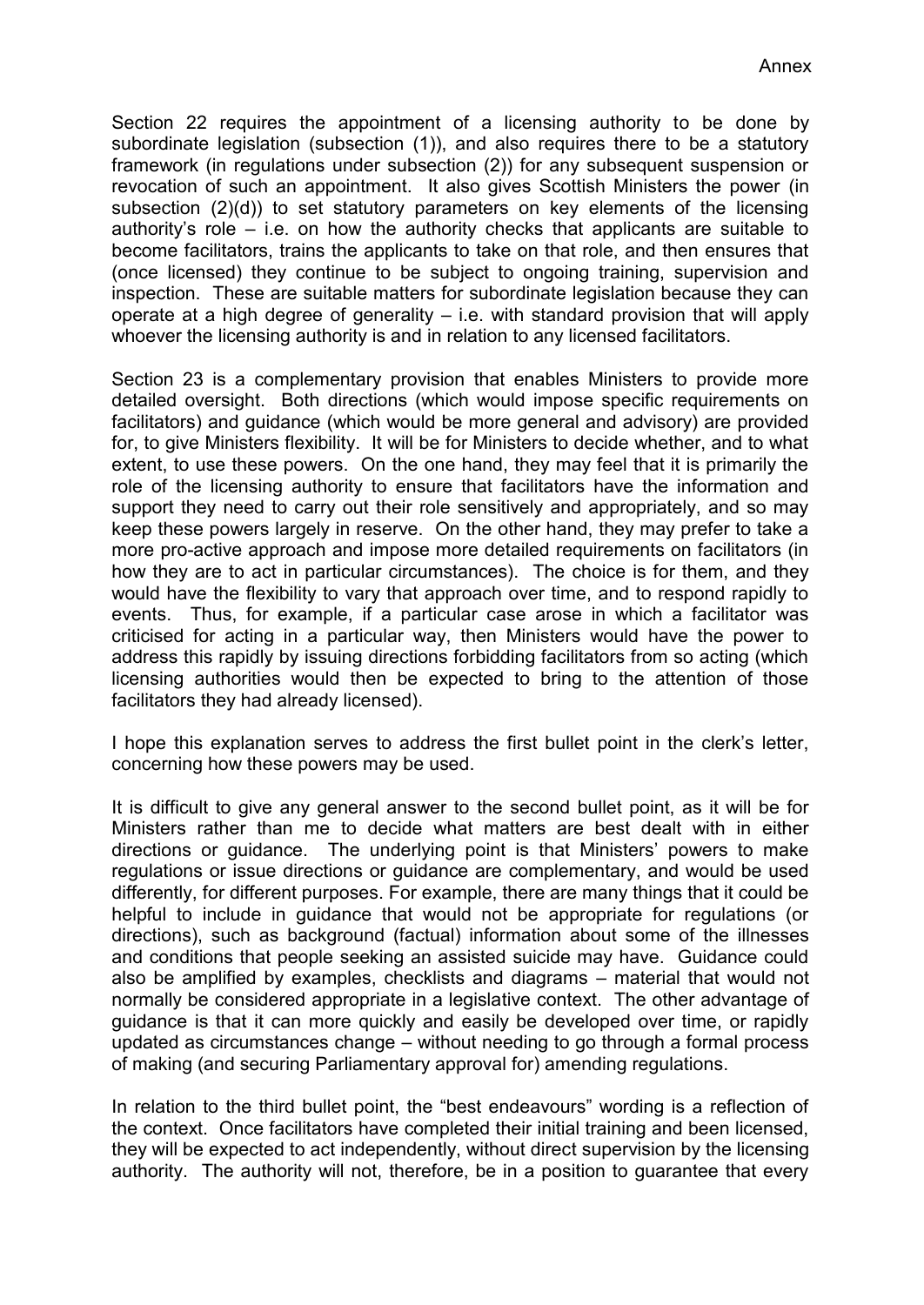Section 22 requires the appointment of a licensing authority to be done by subordinate legislation (subsection (1)), and also requires there to be a statutory framework (in regulations under subsection (2)) for any subsequent suspension or revocation of such an appointment. It also gives Scottish Ministers the power (in subsection (2)(d)) to set statutory parameters on key elements of the licensing authority's role – i.e. on how the authority checks that applicants are suitable to become facilitators, trains the applicants to take on that role, and then ensures that (once licensed) they continue to be subject to ongoing training, supervision and inspection. These are suitable matters for subordinate legislation because they can operate at a high degree of generality  $-$  i.e. with standard provision that will apply whoever the licensing authority is and in relation to any licensed facilitators.

Section 23 is a complementary provision that enables Ministers to provide more detailed oversight. Both directions (which would impose specific requirements on facilitators) and guidance (which would be more general and advisory) are provided for, to give Ministers flexibility. It will be for Ministers to decide whether, and to what extent, to use these powers. On the one hand, they may feel that it is primarily the role of the licensing authority to ensure that facilitators have the information and support they need to carry out their role sensitively and appropriately, and so may keep these powers largely in reserve. On the other hand, they may prefer to take a more pro-active approach and impose more detailed requirements on facilitators (in how they are to act in particular circumstances). The choice is for them, and they would have the flexibility to vary that approach over time, and to respond rapidly to events. Thus, for example, if a particular case arose in which a facilitator was criticised for acting in a particular way, then Ministers would have the power to address this rapidly by issuing directions forbidding facilitators from so acting (which licensing authorities would then be expected to bring to the attention of those facilitators they had already licensed).

I hope this explanation serves to address the first bullet point in the clerk's letter, concerning how these powers may be used.

It is difficult to give any general answer to the second bullet point, as it will be for Ministers rather than me to decide what matters are best dealt with in either directions or guidance. The underlying point is that Ministers' powers to make regulations or issue directions or guidance are complementary, and would be used differently, for different purposes. For example, there are many things that it could be helpful to include in guidance that would not be appropriate for regulations (or directions), such as background (factual) information about some of the illnesses and conditions that people seeking an assisted suicide may have. Guidance could also be amplified by examples, checklists and diagrams – material that would not normally be considered appropriate in a legislative context. The other advantage of guidance is that it can more quickly and easily be developed over time, or rapidly updated as circumstances change – without needing to go through a formal process of making (and securing Parliamentary approval for) amending regulations.

In relation to the third bullet point, the "best endeavours" wording is a reflection of the context. Once facilitators have completed their initial training and been licensed, they will be expected to act independently, without direct supervision by the licensing authority. The authority will not, therefore, be in a position to guarantee that every